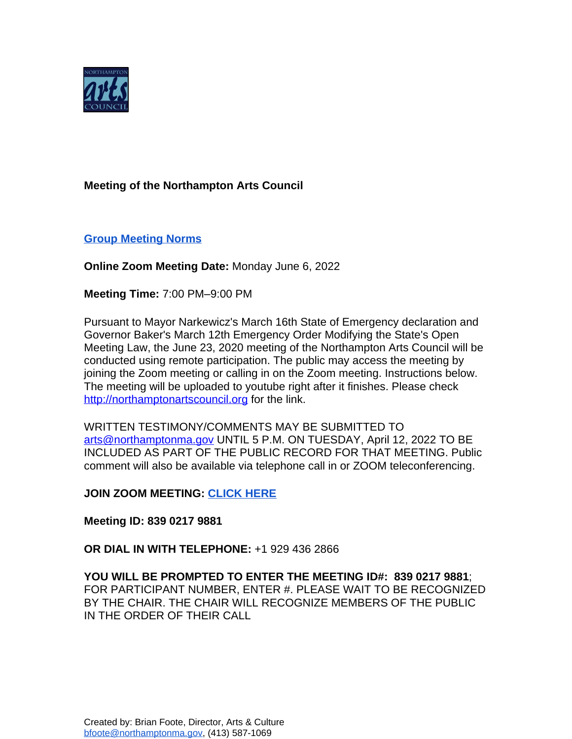

## **Meeting of the Northampton Arts Council**

## **[Group Meeting Norms](https://docs.google.com/document/d/1HsAs9eKPNH9wsmTrVXWLBaOcjETI8_4_EhJtmzV9qws/edit?usp=sharing)**

**Online Zoom Meeting Date:** Monday June 6, 2022

**Meeting Time:** 7:00 PM–9:00 PM

Pursuant to Mayor Narkewicz's March 16th State of Emergency declaration and Governor Baker's March 12th Emergency Order Modifying the State's Open Meeting Law, the June 23, 2020 meeting of the Northampton Arts Council will be conducted using remote participation. The public may access the meeting by joining the Zoom meeting or calling in on the Zoom meeting. Instructions below. The meeting will be uploaded to youtube right after it finishes. Please check <http://northamptonartscouncil.org> for the link.

WRITTEN TESTIMONY/COMMENTS MAY BE SUBMITTED TO [arts@northamptonma.gov](mailto:arts@northamptonma.gov%20?subject=Zoom%20Board%20Meeting) UNTIL 5 P.M. ON TUESDAY, April 12, 2022 TO BE INCLUDED AS PART OF THE PUBLIC RECORD FOR THAT MEETING. Public comment will also be available via telephone call in or ZOOM teleconferencing.

**JOIN ZOOM MEETING: [CLICK HERE](https://us06web.zoom.us/j/83902179881)**

**Meeting ID: 839 0217 9881**

**OR DIAL IN WITH TELEPHONE:** +1 929 436 2866

**YOU WILL BE PROMPTED TO ENTER THE MEETING ID#: 839 0217 9881**; FOR PARTICIPANT NUMBER, ENTER #. PLEASE WAIT TO BE RECOGNIZED BY THE CHAIR. THE CHAIR WILL RECOGNIZE MEMBERS OF THE PUBLIC IN THE ORDER OF THEIR CALL